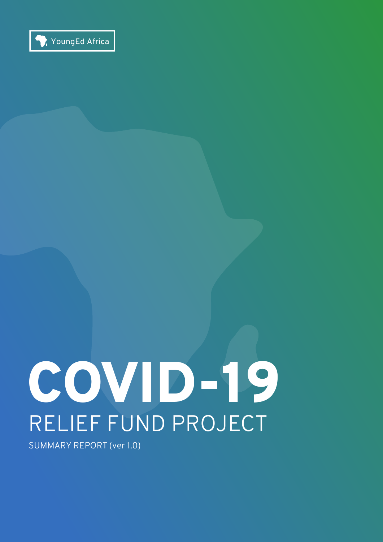

# COVID-19 RELIEF FUND PROJECT

SUMMARY REPORT (ver 1.0)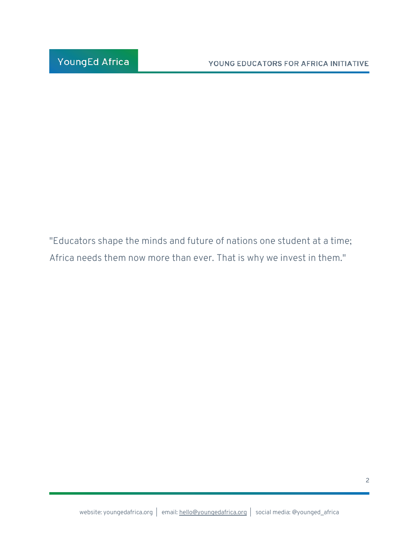"Educators shape the minds and future of nations one student at a time; Africa needs them now more than ever. That is why we invest in them."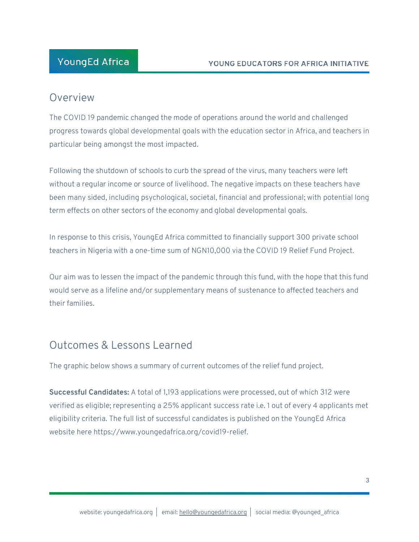### **YoungEd Africa**

#### Overview

The COVID 19 pandemic changed the mode of operations around the world and challenged progress towards global developmental goals with the education sector in Africa, and teachers in particular being amongst the most impacted.

Following the shutdown of schools to curb the spread of the virus, many teachers were left without a regular income or source of livelihood. The negative impacts on these teachers have been many sided, including psychological, societal, financial and professional; with potential long term effects on other sectors of the economy and global developmental goals.

In response to this crisis, YoungEd Africa committed to financially support 300 private school teachers in Nigeria with a one-time sum of NGN10,000 via the COVID 19 Relief Fund Project.

Our aim was to lessen the impact of the pandemic through this fund, with the hope that this fund would serve as a lifeline and/or supplementary means of sustenance to affected teachers and their families.

# Outcomes & Lessons Learned

The graphic below shows a summary of current outcomes of the relief fund project.

**Successful Candidates:** A total of 1,193 applications were processed, out of which 312 were verified as eligible; representing a 25% applicant success rate i.e. 1 out of every 4 applicants met eligibility criteria. The full list of successful candidates is published on the YoungEd Africa website here https://www.youngedafrica.org/covid19-relief.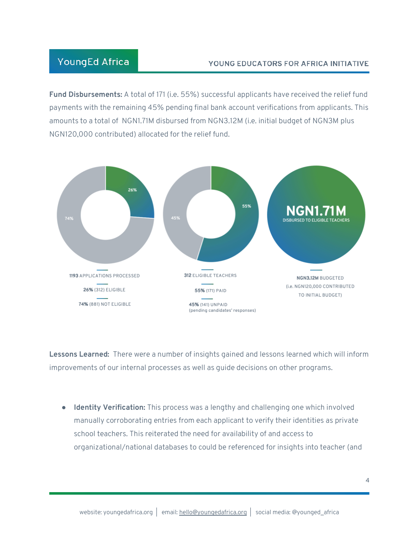#### **YoungEd Africa**

#### YOUNG EDUCATORS FOR AFRICA INITIATIVE

**Fund Disbursements:** A total of 171 (i.e. 55%) successful applicants have received the relief fund payments with the remaining 45% pending final bank account verifications from applicants. This amounts to a total of NGN1.71M disbursed from NGN3.12M (i.e. initial budget of NGN3M plus NGN120,000 contributed) allocated for the relief fund.



**Lessons Learned:** There were a number of insights gained and lessons learned which will inform improvements of our internal processes as well as guide decisions on other programs.

● **Identity Verification:** This process was a lengthy and challenging one which involved manually corroborating entries from each applicant to verify their identities as private school teachers. This reiterated the need for availability of and access to organizational/national databases to could be referenced for insights into teacher (and